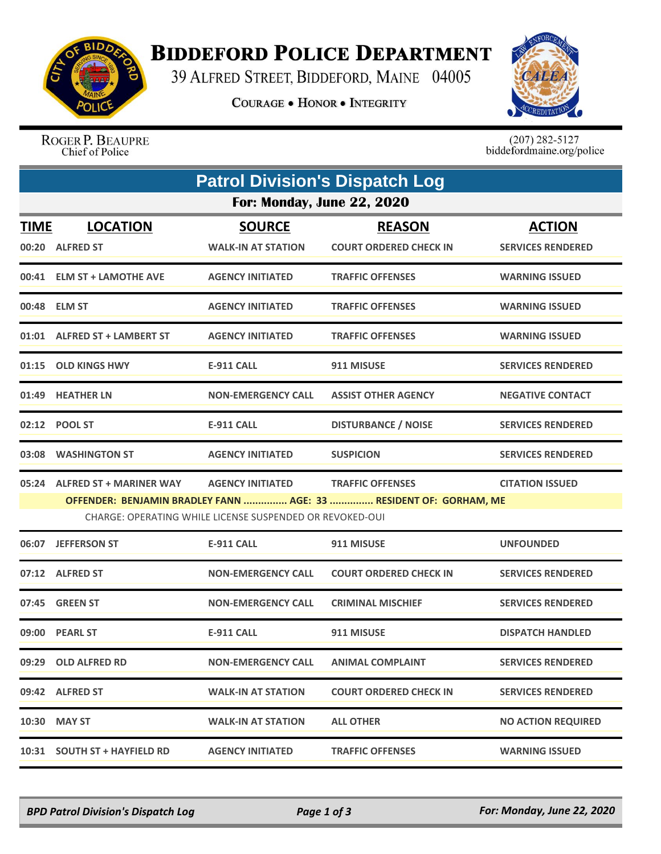

## **BIDDEFORD POLICE DEPARTMENT**

39 ALFRED STREET, BIDDEFORD, MAINE 04005

**COURAGE . HONOR . INTEGRITY** 



ROGER P. BEAUPRE Chief of Police

 $(207)$  282-5127<br>biddefordmaine.org/police

| <b>Patrol Division's Dispatch Log</b>                    |                                                                   |                           |                               |                           |  |  |  |
|----------------------------------------------------------|-------------------------------------------------------------------|---------------------------|-------------------------------|---------------------------|--|--|--|
| For: Monday, June 22, 2020                               |                                                                   |                           |                               |                           |  |  |  |
| <b>TIME</b>                                              | <b>LOCATION</b>                                                   | <b>SOURCE</b>             | <b>REASON</b>                 | <b>ACTION</b>             |  |  |  |
| 00:20                                                    | <b>ALFRED ST</b>                                                  | <b>WALK-IN AT STATION</b> | <b>COURT ORDERED CHECK IN</b> | <b>SERVICES RENDERED</b>  |  |  |  |
|                                                          | 00:41 ELM ST + LAMOTHE AVE                                        | <b>AGENCY INITIATED</b>   | <b>TRAFFIC OFFENSES</b>       | <b>WARNING ISSUED</b>     |  |  |  |
|                                                          | 00:48 ELM ST                                                      | <b>AGENCY INITIATED</b>   | <b>TRAFFIC OFFENSES</b>       | <b>WARNING ISSUED</b>     |  |  |  |
|                                                          | 01:01 ALFRED ST + LAMBERT ST                                      | <b>AGENCY INITIATED</b>   | <b>TRAFFIC OFFENSES</b>       | <b>WARNING ISSUED</b>     |  |  |  |
|                                                          | 01:15 OLD KINGS HWY                                               | E-911 CALL                | 911 MISUSE                    | <b>SERVICES RENDERED</b>  |  |  |  |
|                                                          | 01:49 HEATHER LN                                                  | <b>NON-EMERGENCY CALL</b> | <b>ASSIST OTHER AGENCY</b>    | <b>NEGATIVE CONTACT</b>   |  |  |  |
|                                                          | 02:12 POOL ST                                                     | <b>E-911 CALL</b>         | <b>DISTURBANCE / NOISE</b>    | <b>SERVICES RENDERED</b>  |  |  |  |
| 03:08                                                    | <b>WASHINGTON ST</b>                                              | <b>AGENCY INITIATED</b>   | <b>SUSPICION</b>              | <b>SERVICES RENDERED</b>  |  |  |  |
|                                                          | 05:24 ALFRED ST + MARINER WAY                                     | <b>AGENCY INITIATED</b>   | <b>TRAFFIC OFFENSES</b>       | <b>CITATION ISSUED</b>    |  |  |  |
|                                                          | OFFENDER: BENJAMIN BRADLEY FANN  AGE: 33  RESIDENT OF: GORHAM, ME |                           |                               |                           |  |  |  |
| CHARGE: OPERATING WHILE LICENSE SUSPENDED OR REVOKED-OUI |                                                                   |                           |                               |                           |  |  |  |
|                                                          | 06:07 JEFFERSON ST                                                | <b>E-911 CALL</b>         | 911 MISUSE                    | <b>UNFOUNDED</b>          |  |  |  |
|                                                          | 07:12 ALFRED ST                                                   | <b>NON-EMERGENCY CALL</b> | <b>COURT ORDERED CHECK IN</b> | <b>SERVICES RENDERED</b>  |  |  |  |
|                                                          | 07:45 GREEN ST                                                    | <b>NON-EMERGENCY CALL</b> | <b>CRIMINAL MISCHIEF</b>      | <b>SERVICES RENDERED</b>  |  |  |  |
|                                                          | 09:00 PEARL ST                                                    | <b>E-911 CALL</b>         | 911 MISUSE                    | <b>DISPATCH HANDLED</b>   |  |  |  |
|                                                          | 09:29 OLD ALFRED RD                                               | <b>NON-EMERGENCY CALL</b> | <b>ANIMAL COMPLAINT</b>       | <b>SERVICES RENDERED</b>  |  |  |  |
|                                                          | 09:42 ALFRED ST                                                   | <b>WALK-IN AT STATION</b> | <b>COURT ORDERED CHECK IN</b> | <b>SERVICES RENDERED</b>  |  |  |  |
|                                                          | 10:30 MAY ST                                                      | <b>WALK-IN AT STATION</b> | <b>ALL OTHER</b>              | <b>NO ACTION REQUIRED</b> |  |  |  |
|                                                          | 10:31 SOUTH ST + HAYFIELD RD                                      | <b>AGENCY INITIATED</b>   | <b>TRAFFIC OFFENSES</b>       | <b>WARNING ISSUED</b>     |  |  |  |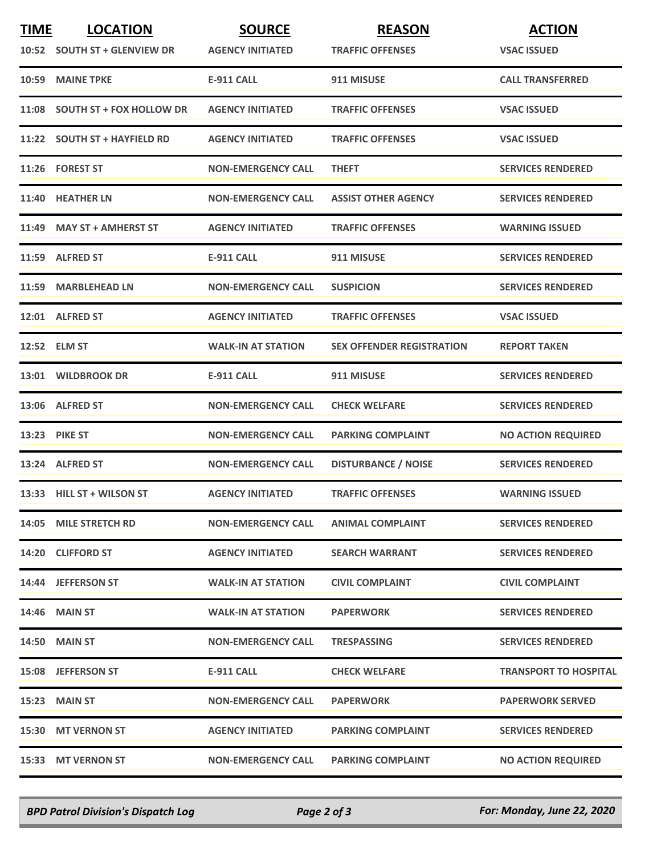| <b>TIME</b> | <b>LOCATION</b>                 | <b>SOURCE</b>             | <b>REASON</b>                    | <b>ACTION</b>                |
|-------------|---------------------------------|---------------------------|----------------------------------|------------------------------|
|             | 10:52 SOUTH ST + GLENVIEW DR    | <b>AGENCY INITIATED</b>   | <b>TRAFFIC OFFENSES</b>          | <b>VSAC ISSUED</b>           |
|             | 10:59 MAINE TPKE                | <b>E-911 CALL</b>         | 911 MISUSE                       | <b>CALL TRANSFERRED</b>      |
| 11:08       | <b>SOUTH ST + FOX HOLLOW DR</b> | <b>AGENCY INITIATED</b>   | <b>TRAFFIC OFFENSES</b>          | <b>VSAC ISSUED</b>           |
|             | 11:22 SOUTH ST + HAYFIELD RD    | <b>AGENCY INITIATED</b>   | <b>TRAFFIC OFFENSES</b>          | <b>VSAC ISSUED</b>           |
|             | 11:26 FOREST ST                 | <b>NON-EMERGENCY CALL</b> | <b>THEFT</b>                     | <b>SERVICES RENDERED</b>     |
|             | 11:40 HEATHER LN                | <b>NON-EMERGENCY CALL</b> | <b>ASSIST OTHER AGENCY</b>       | <b>SERVICES RENDERED</b>     |
|             | 11:49 MAY ST + AMHERST ST       | <b>AGENCY INITIATED</b>   | <b>TRAFFIC OFFENSES</b>          | <b>WARNING ISSUED</b>        |
|             | 11:59 ALFRED ST                 | <b>E-911 CALL</b>         | 911 MISUSE                       | <b>SERVICES RENDERED</b>     |
|             | 11:59 MARBLEHEAD LN             | <b>NON-EMERGENCY CALL</b> | <b>SUSPICION</b>                 | <b>SERVICES RENDERED</b>     |
| 12:01       | <b>ALFRED ST</b>                | <b>AGENCY INITIATED</b>   | <b>TRAFFIC OFFENSES</b>          | <b>VSAC ISSUED</b>           |
|             | 12:52 ELM ST                    | <b>WALK-IN AT STATION</b> | <b>SEX OFFENDER REGISTRATION</b> | <b>REPORT TAKEN</b>          |
|             | 13:01 WILDBROOK DR              | <b>E-911 CALL</b>         | 911 MISUSE                       | <b>SERVICES RENDERED</b>     |
|             | 13:06 ALFRED ST                 | <b>NON-EMERGENCY CALL</b> | <b>CHECK WELFARE</b>             | <b>SERVICES RENDERED</b>     |
|             | <b>13:23 PIKE ST</b>            | <b>NON-EMERGENCY CALL</b> | <b>PARKING COMPLAINT</b>         | <b>NO ACTION REQUIRED</b>    |
|             | 13:24 ALFRED ST                 | <b>NON-EMERGENCY CALL</b> | <b>DISTURBANCE / NOISE</b>       | <b>SERVICES RENDERED</b>     |
|             | 13:33 HILL ST + WILSON ST       | <b>AGENCY INITIATED</b>   | <b>TRAFFIC OFFENSES</b>          | <b>WARNING ISSUED</b>        |
|             | 14:05 MILE STRETCH RD           | <b>NON-EMERGENCY CALL</b> | <b>ANIMAL COMPLAINT</b>          | <b>SERVICES RENDERED</b>     |
|             | 14:20 CLIFFORD ST               | <b>AGENCY INITIATED</b>   | <b>SEARCH WARRANT</b>            | <b>SERVICES RENDERED</b>     |
|             | 14:44 JEFFERSON ST              | <b>WALK-IN AT STATION</b> | <b>CIVIL COMPLAINT</b>           | <b>CIVIL COMPLAINT</b>       |
|             | <b>14:46 MAIN ST</b>            | <b>WALK-IN AT STATION</b> | <b>PAPERWORK</b>                 | <b>SERVICES RENDERED</b>     |
|             | <b>14:50 MAIN ST</b>            | <b>NON-EMERGENCY CALL</b> | <b>TRESPASSING</b>               | <b>SERVICES RENDERED</b>     |
|             | 15:08 JEFFERSON ST              | <b>E-911 CALL</b>         | <b>CHECK WELFARE</b>             | <b>TRANSPORT TO HOSPITAL</b> |
|             | 15:23 MAIN ST                   | <b>NON-EMERGENCY CALL</b> | <b>PAPERWORK</b>                 | <b>PAPERWORK SERVED</b>      |
|             | 15:30 MT VERNON ST              | <b>AGENCY INITIATED</b>   | <b>PARKING COMPLAINT</b>         | <b>SERVICES RENDERED</b>     |
|             | 15:33 MT VERNON ST              | <b>NON-EMERGENCY CALL</b> | <b>PARKING COMPLAINT</b>         | <b>NO ACTION REQUIRED</b>    |

*BPD Patrol Division's Dispatch Log Page 2 of 3 For: Monday, June 22, 2020*